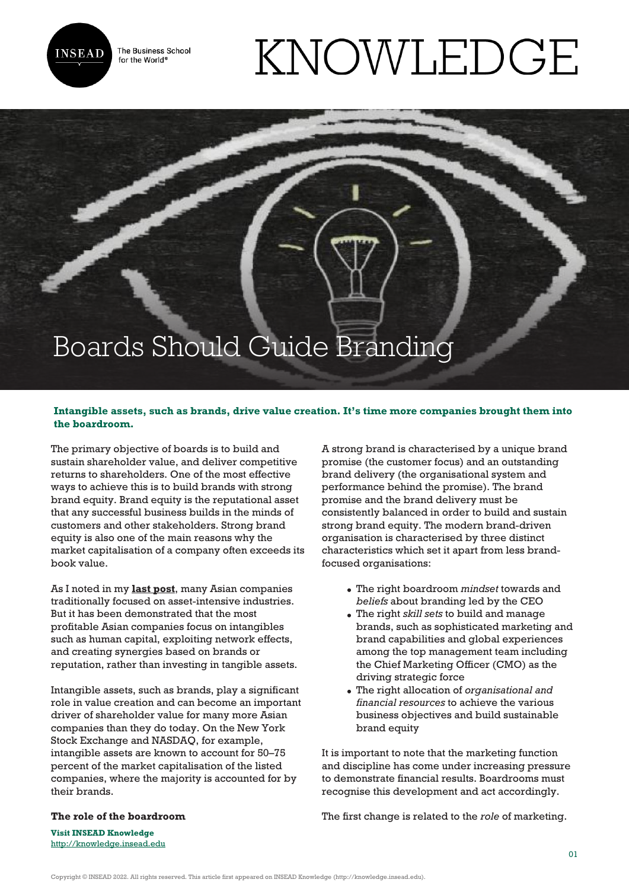

The Business School for the World<sup>®</sup>

## KNOWLEDGE

## Boards Should Guide Branding

## **Intangible assets, such as brands, drive value creation. It's time more companies brought them into the boardroom.**

The primary objective of boards is to build and sustain shareholder value, and deliver competitive returns to shareholders. One of the most effective ways to achieve this is to build brands with strong brand equity. Brand equity is the reputational asset that any successful business builds in the minds of customers and other stakeholders. Strong brand equity is also one of the main reasons why the market capitalisation of a company often exceeds its book value.

As I noted in my **[last post](http://knowledge.insead.edu/blog/insead-blog/where-are-all-the-global-asian-brands-3609)**, many Asian companies traditionally focused on asset-intensive industries. But it has been demonstrated that the most profitable Asian companies focus on intangibles such as human capital, exploiting network effects, and creating synergies based on brands or reputation, rather than investing in tangible assets.

Intangible assets, such as brands, play a significant role in value creation and can become an important driver of shareholder value for many more Asian companies than they do today. On the New York Stock Exchange and NASDAQ, for example, intangible assets are known to account for 50–75 percent of the market capitalisation of the listed companies, where the majority is accounted for by their brands.

A strong brand is characterised by a unique brand promise (the customer focus) and an outstanding brand delivery (the organisational system and performance behind the promise). The brand promise and the brand delivery must be consistently balanced in order to build and sustain strong brand equity. The modern brand-driven organisation is characterised by three distinct characteristics which set it apart from less brandfocused organisations:

- The right boardroom *mindset* towards and *beliefs* about branding led by the CEO
- The right *skill sets* to build and manage brands, such as sophisticated marketing and brand capabilities and global experiences among the top management team including the Chief Marketing Officer (CMO) as the driving strategic force
- The right allocation of *organisational and financial resources* to achieve the various business objectives and build sustainable brand equity

It is important to note that the marketing function and discipline has come under increasing pressure to demonstrate financial results. Boardrooms must recognise this development and act accordingly.

The first change is related to the *role* of marketing.

**Visit INSEAD Knowledge** <http://knowledge.insead.edu>

**The role of the boardroom**

Copyright © INSEAD 2022. All rights reserved. This article first appeared on INSEAD Knowledge (http://knowledge.insead.edu).